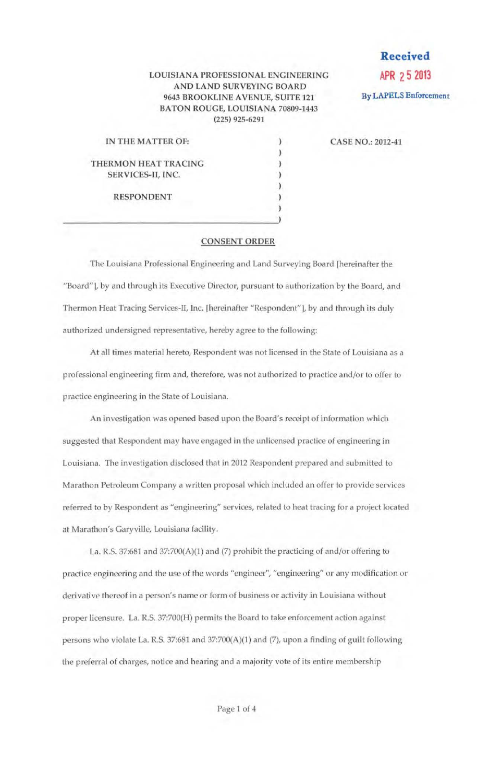## LOUISIANA PROFESSIONAL ENGINEERING AND LAND SURVEYING BOARD 9643 BROOKLINE AVENUE, SUITE 121 BATON ROUGE, LOUISIANA 70809-1443 (225) 925-6291

) ) ) ) ) ) )

**Received APR 2 5 2013**  By LAPELS Enforcement

| IN THE MATTER OF:    |  |
|----------------------|--|
| THERMON HEAT TRACING |  |
| SERVICES-II, INC.    |  |
| <b>RESPONDENT</b>    |  |

CASE NO.: 2012-41

## CONSENT ORDER

The Louisiana Professional Engineering and Land Surveying Board [hereinafter the "Board"], by and through its Executive Director, pursuant to authorization by the Board, and Thermon Heat Tracing Services-IT, Inc. [hereinafter "Respondent"], by and through its duly authorized undersigned representative, hereby agree to the following:

At all times material hereto, Respondent was not licensed in the State of Louisiana as a professional engineering firm and, therefore, was not authorized to practice and/or to offer to practice engineering in the State of Louisiana.

An investigation was opened based upon the Board's receipt of information which suggested that Respondent may have engaged in the unlicensed practice of engineering in Louisiana. The investigation disclosed that in 2012 Respondent prepared and submitted to Marathon Petroleum Company a written proposal which included an offer to provide services referred to by Respondent as "engineering" services, related to heat tracing for a project located at Marathon's Garyville, Louisiana facility.

La. R.S. 37:681 and 37:700(A)(l) and (7) prohibit the practicing of and/or offering to practice engineering and the use of the words "engineer", "engineering" or any modification or derivative thereof in a person's name or form of business or activity in Louisiana without proper licensure. La. R.S. 37:700(H) permits the Board to take enforcement action against persons who violate La. R.S. 37:681 and 37:700(A)(1) and (7), upon a finding of guilt following the preferral of charges, notice and hearing and a majority vote of its entire membership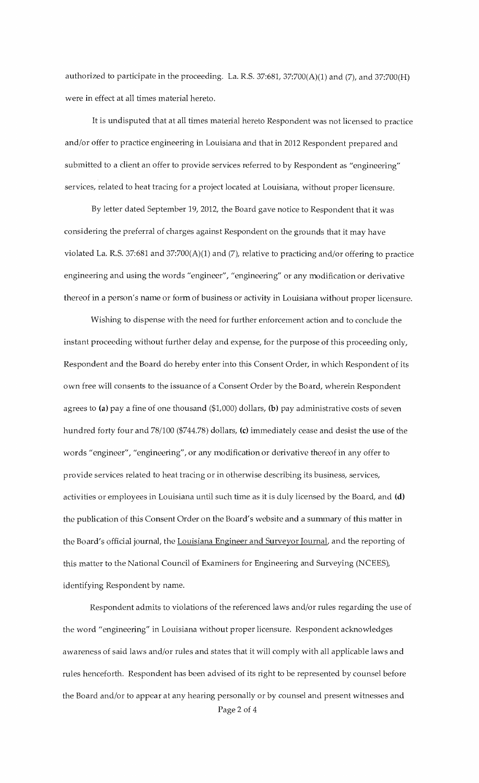authorized to participate in the proceeding. La. R.S.  $37:681$ ,  $37:700(A)(1)$  and  $(7)$ , and  $37:700(H)$ were in effect at all times material hereto.

It is undisputed that at all times material hereto Respondent was not licensed to practice and/or offer to practice engineering in Louisiana and that in 2012 Respondent prepared and submitted to a client an offer to provide services referred to by Respondent as "engineering" services, related to heat tracing for a project located at Louisiana, without proper licensure.

By letter dated September 19, 2012, the Board gave notice to Respondent that it was considering the preferral of charges against Respondent on the grounds that it may have violated La. R.S. 37:681 and 37:700(A)(1) and (7), relative to practicing and/or offering to practice engineering and using the words "engineer", "engineering" or any modification or derivative thereof in a person's name or form of business or activity in Louisiana without proper licensure.

Wishing to dispense with the need for further enforcement action and to conclude the instant proceeding without further delay and expense, for the purpose of this proceeding only, Respondent and the Board do hereby enter into this Consent Order, in which Respondent of its own free will consents to the issuance of a Consent Order by the Board, wherein Respondent agrees to (a) pay a fine of one thousand  $($1,000)$  dollars, (b) pay administrative costs of seven hundred forty four and 78/100 (\$744.78) dollars, (c) immediately cease and desist the use of the words "engineer", "engineering", or any modification or derivative thereof in any offer to provide services related to heat tracing or in otherwise describing its business, services, activities or employees in Louisiana until such time as it is duly licensed by the Board, and (d) the publication of this Consent Order on the Board's website and a smrunary of this matter in the Board's official journal, the Louisiana Engineer and Surveyor Journal, and the reporting of this matter to the National Council of Examiners for Engineering and Surveying (NCEES), identifying Respondent by name.

Respondent admits to violations of the referenced laws and/or rules regarding the use of the word "engineering" in Louisiana without proper licensure. Respondent acknowledges awareness of said laws and/or rules and states that it will comply with all applicable laws and rules henceforth. Respondent has been advised of its right to be represented by counsel before the Board and/or to appear at any hearing personally or by counsel and present witnesses and Page 2 of 4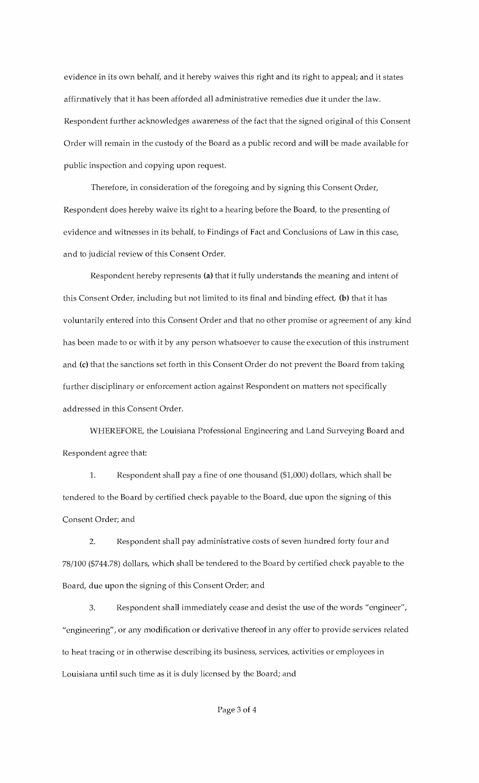evidence in its own behalf, and it hereby waives this right and its right to appeal; and it states affirmatively that it has been afforded all administrative remedies due it under the law. Respondent further acknowledges awareness of the fact that the signed original of this Consent Order will remain in the custody of the Board as a public record and will be made available for public inspection and copying upon request.

Therefore, in consideration of the foregoing and by signing this Consent Order, Respondent does hereby waive its right to a hearing before the Board, to the presenting of evidence and witnesses in its behalf, to Findings of Fact and Conclusions of Law in this case, and to judicial review of this Consent Order.

Respondent hereby represents (a) that it fully understands the meaning and intent of this Consent Order, including but not limited to its final and binding effect, (b) that it has voluntarily entered into this Consent Order and that no other promise or agreement of any kind has been made to or with it by any person whatsoever to cause the execution of this instrument and (c) that the sanctions set forth in this Consent Order do not prevent the Board from taking further disciplinary or enforcement action against Respondent on matters not specifically addressed in this Consent Order.

WHEREFORE, the Louisiana Professional Engineering and Land Surveying Board and Respondent agree that:

1. Respondent shall pay a fine of one thousand (\$1,000) dollars, which shall be tendered to the Board by certified check payable to the Board, due upon the signing of this Consent Order; and

2. Respondent shall pay administrative costs of seven hundred forty four and 78/100 (\$744.78) dollars, which shall be tendered to the Board by certified check payable to the Board, due upon the signing of this Consent Order; and

3. Respondent shall immediately cease and desist the use of the words "engineer", "engineering", or any modification or derivative thereof in any offer to provide services related to heat tracing or in otherwise describing its business, services, activities or employees in Louisiana until such time as it is duly licensed by the Board; and